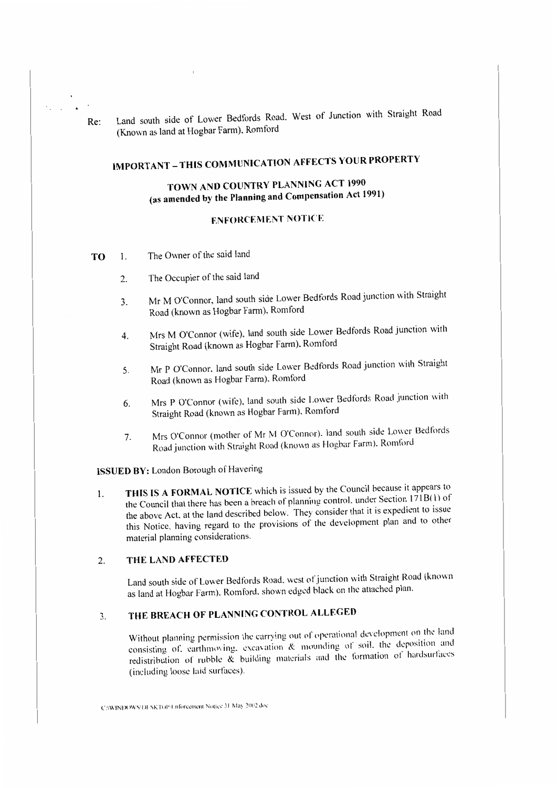Re: Land south side of Lower Bedfords Road. West of Junction with Straight Road (Known as land at Hogbar Farm). Romford

# **IMPORTANT-THIS COMMUNICATION AFFECTS YOUR PROPERTY**

# **TOWN AND COUNTRY PLANNING ACT 1990 (as amended by the Planning and Compensation Act 1991)**

## **ENFORCEMENT NOTICE**

- **TO I.** The Owner of the said land
	- 2. The Occupier of the said land
	- 3. Mr M O'Connor, land south side Lower Bedfords Road junction with Straight Road (known as Hogbar Farm), Romford
	- 4. Mrs M O'Connor (wife), land south side Lower Bedfords Road junction with Straight Road (known as Hogbar farm). Romford
	- 5. Mr P O'Connor, land south side Lower Bedfords Road junction with Straight Road (known as Hogbar Farm). Romford
	- 6. Mrs P O'Connor (wife). land south side Lower Bedfords Road junction with Straight Road (known as Hogbar Farm). Romford
	- 7. Mrs O'Connor (mother of Mr M O'Connor). land south side Lower Bedfords Road junction with Straight Road (known as Hogbar Farm). Romford

**ISSUED BY:** London Borough of Havering

1. **THIS IS A FORMAL NOTICE** which is issued by the Council because it appears to the Council that there has been a breach of planning control. under Section  $171B(1)$  of the above Act. at the land described below. They consider that it is expedient to issue this Notice, having regard to the provisions of the development plan and to other material planning considerations.

# 2. **THE LAND AFFECTED**

Land south side of Lower Bedfords Road. west of junction with Straight Road (known as land at Hogbar Farm). Romford. shown edged black on the attached plan.

# 3. **THE BREACH OF PLANNING CONTROL ALLEGED**

Without planning permission the carrying out of operational development on the land consisting of, earthmoving, excavation  $\&$  mounding of soil, the deposition and redistribution of rubble  $\tilde{\mathcal{R}}$  building materials and the formation of hardsurfaces (including loose laid surfaces).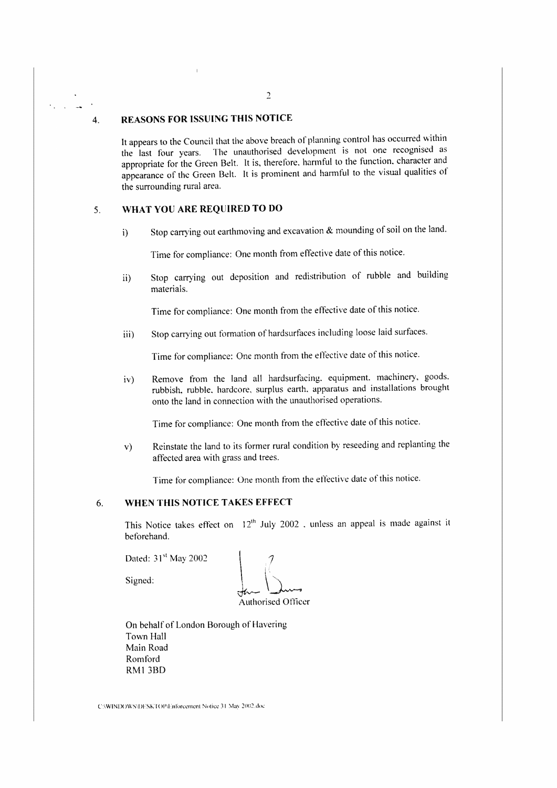#### 4. **REASONS FOR ISSUING THIS NOTICE**

It appears to the Council that the above breach of planning control has occurred within the last four years. The unauthorised development is not one recognised as appropriate for the Green Belt. It is, therefore. harmful to the function. character and appearance of the Green Belt. It is prominent and harmful to the visual qualities of the surrounding rural area.

# 5. **WHAT YOU ARE REQlJIRF:D TO DO**

i) Stop carrying out earthmoving and excavation & mounding of soil on the land.

Time for compliance: One month from effective date of this notice.

ii) Stop carrying out deposition and redistribution of rubble and building materials.

Time for compliance: One month from the effective date of this notice.

iii) Stop carrying out formation of hardsurfaces including loose laid surfaces.

Time for compliance: One month from the effective date of this notice.

iv) Remove from the land all hardsurfacing. equipment. machinery. goods. rubbish, rubble, hardcore, surplus earth. apparatus and installations brought onto the land in connection with the unauthorised operations.

Time for compliance: One month from the effective date of this notice.

v) Reinstate the land to its former rural condition by reseeding and replanting the affected area with grass and trees.

Time for compliance: One month from the effective date of this notice.

## 6. **WHEN THIS NOTICE TAKES EFFECT**

This Notice takes effect on  $12<sup>th</sup>$  July 2002 . unless an appeal is made against it beforehand.

Dated: 31<sup>st</sup> May 2002

Signed:

Authorised Officer

On behalf of London Borough of Havering Town Hall Main Road Romford RMI 38D

C:\WINDOWS\DESKTOP\Lnforcement Notice 31 May 2002.doc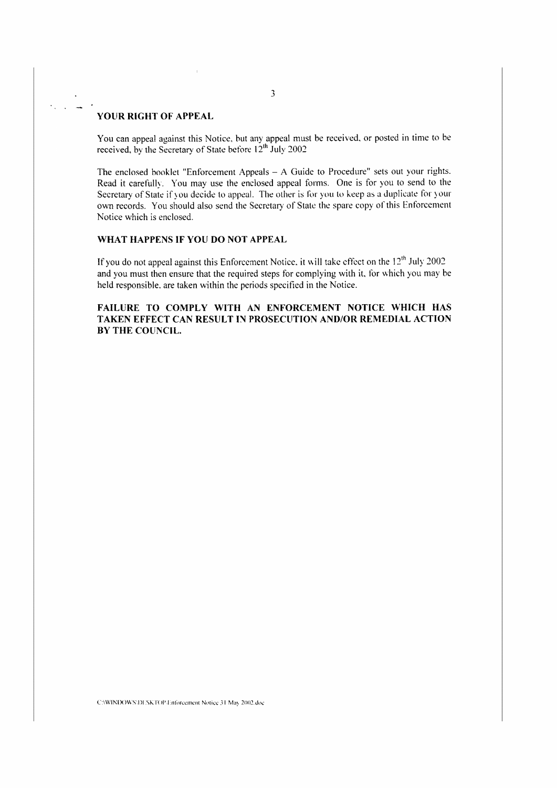#### **YOUR RIGHT OF APPEAL**

You can appeal against this Notice. but any appeal must be received. or posted in time to be received, by the Secretary of State before 12<sup>th</sup> July 2002

The enclosed hooklet "Enforcement Appeals - A Guide to Procedure" sets out your rights. Read it carefully. You may use the enclosed appeal forms. One is for you to send to the Secretary of State if you decide to appeal. The other is for you to keep as a duplicate for your own records. You should also send the Secretary of State the spare copy of this Enforcement Notice which is enclosed.

#### **WHAT HAPPENS IF YOU DO NOT APPEAL**

If you do not appeal against this Enforcement Notice, it will take effect on the  $12<sup>th</sup>$  July 2002 and you must then ensure that the required steps for complying with it. for which you may be held responsible. are taken within the periods specified in the Notice.

## **FAILURE TO COMPLY WITH AN ENFORCEMENT NOTICE WHICH HAS TAKEN EFFECT CAN RESULT IN PROSECUTION AND/OR REMEDIAL ACTION BY THE COUNCIL.**

C:\WINDOWS\DESKTOP\Enforcement Notice 31 May 2002.doc